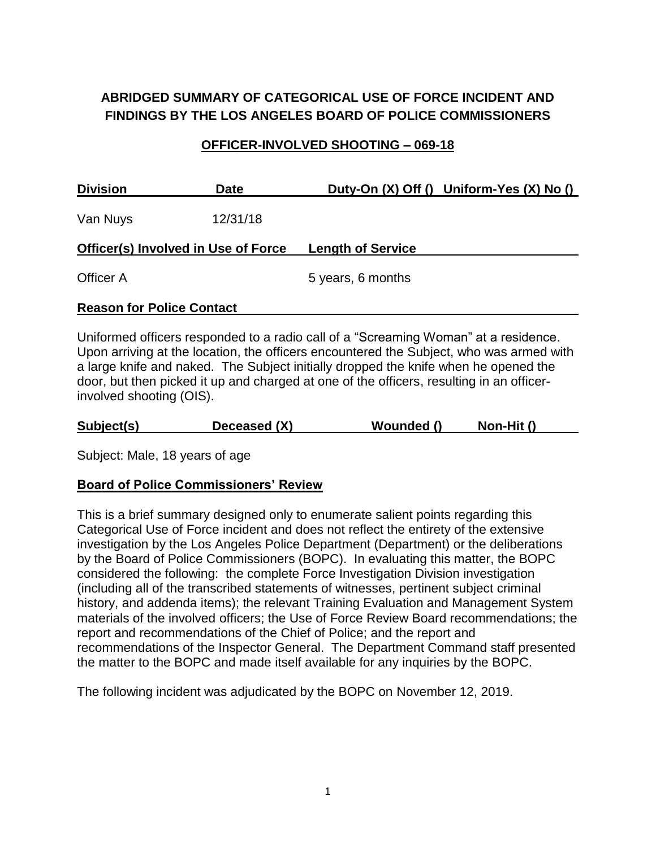# **ABRIDGED SUMMARY OF CATEGORICAL USE OF FORCE INCIDENT AND FINDINGS BY THE LOS ANGELES BOARD OF POLICE COMMISSIONERS**

## **OFFICER-INVOLVED SHOOTING – 069-18**

| <b>Division</b>                            | <b>Date</b> | Duty-On (X) Off () Uniform-Yes (X) No () |
|--------------------------------------------|-------------|------------------------------------------|
| Van Nuys                                   | 12/31/18    |                                          |
| <b>Officer(s) Involved in Use of Force</b> |             | <b>Length of Service</b>                 |
| Officer A                                  |             | 5 years, 6 months                        |
| <b>Reason for Police Contact</b>           |             |                                          |

Uniformed officers responded to a radio call of a "Screaming Woman" at a residence. Upon arriving at the location, the officers encountered the Subject, who was armed with a large knife and naked. The Subject initially dropped the knife when he opened the door, but then picked it up and charged at one of the officers, resulting in an officerinvolved shooting (OIS).

| Subject(s) | Deceased (X) | Wounded () | Non-Hit () |
|------------|--------------|------------|------------|
|            |              |            |            |

Subject: Male, 18 years of age

# **Board of Police Commissioners' Review**

This is a brief summary designed only to enumerate salient points regarding this Categorical Use of Force incident and does not reflect the entirety of the extensive investigation by the Los Angeles Police Department (Department) or the deliberations by the Board of Police Commissioners (BOPC). In evaluating this matter, the BOPC considered the following: the complete Force Investigation Division investigation (including all of the transcribed statements of witnesses, pertinent subject criminal history, and addenda items); the relevant Training Evaluation and Management System materials of the involved officers; the Use of Force Review Board recommendations; the report and recommendations of the Chief of Police; and the report and recommendations of the Inspector General. The Department Command staff presented the matter to the BOPC and made itself available for any inquiries by the BOPC.

The following incident was adjudicated by the BOPC on November 12, 2019.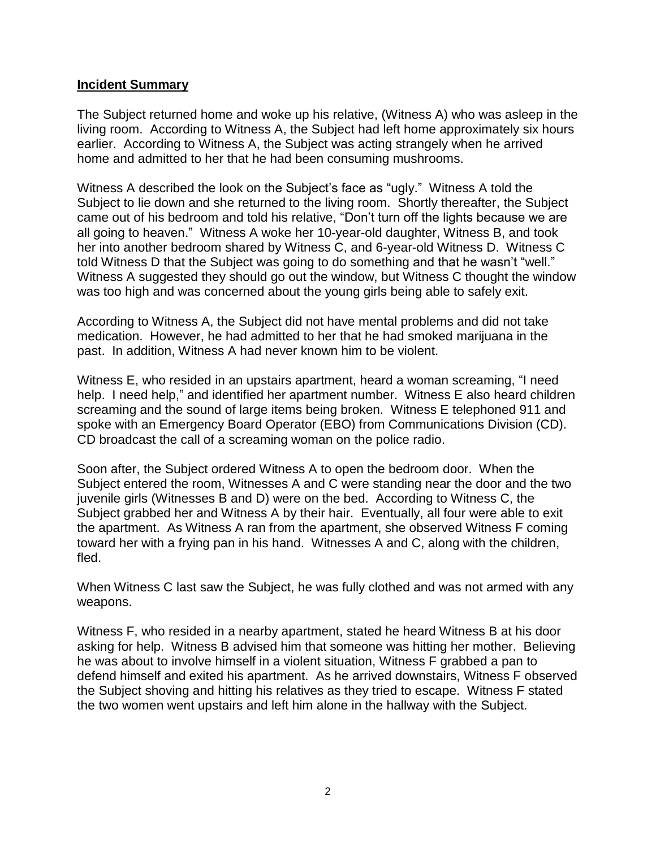#### **Incident Summary**

The Subject returned home and woke up his relative, (Witness A) who was asleep in the living room. According to Witness A, the Subject had left home approximately six hours earlier. According to Witness A, the Subject was acting strangely when he arrived home and admitted to her that he had been consuming mushrooms.

Witness A described the look on the Subject's face as "ugly." Witness A told the Subject to lie down and she returned to the living room. Shortly thereafter, the Subject came out of his bedroom and told his relative, "Don't turn off the lights because we are all going to heaven." Witness A woke her 10-year-old daughter, Witness B, and took her into another bedroom shared by Witness C, and 6-year-old Witness D. Witness C told Witness D that the Subject was going to do something and that he wasn't "well." Witness A suggested they should go out the window, but Witness C thought the window was too high and was concerned about the young girls being able to safely exit.

According to Witness A, the Subject did not have mental problems and did not take medication. However, he had admitted to her that he had smoked marijuana in the past. In addition, Witness A had never known him to be violent.

Witness E, who resided in an upstairs apartment, heard a woman screaming, "I need help. I need help," and identified her apartment number. Witness E also heard children screaming and the sound of large items being broken. Witness E telephoned 911 and spoke with an Emergency Board Operator (EBO) from Communications Division (CD). CD broadcast the call of a screaming woman on the police radio.

Soon after, the Subject ordered Witness A to open the bedroom door. When the Subject entered the room, Witnesses A and C were standing near the door and the two juvenile girls (Witnesses B and D) were on the bed. According to Witness C, the Subject grabbed her and Witness A by their hair. Eventually, all four were able to exit the apartment. As Witness A ran from the apartment, she observed Witness F coming toward her with a frying pan in his hand. Witnesses A and C, along with the children, fled.

When Witness C last saw the Subject, he was fully clothed and was not armed with any weapons.

Witness F, who resided in a nearby apartment, stated he heard Witness B at his door asking for help. Witness B advised him that someone was hitting her mother. Believing he was about to involve himself in a violent situation, Witness F grabbed a pan to defend himself and exited his apartment. As he arrived downstairs, Witness F observed the Subject shoving and hitting his relatives as they tried to escape. Witness F stated the two women went upstairs and left him alone in the hallway with the Subject.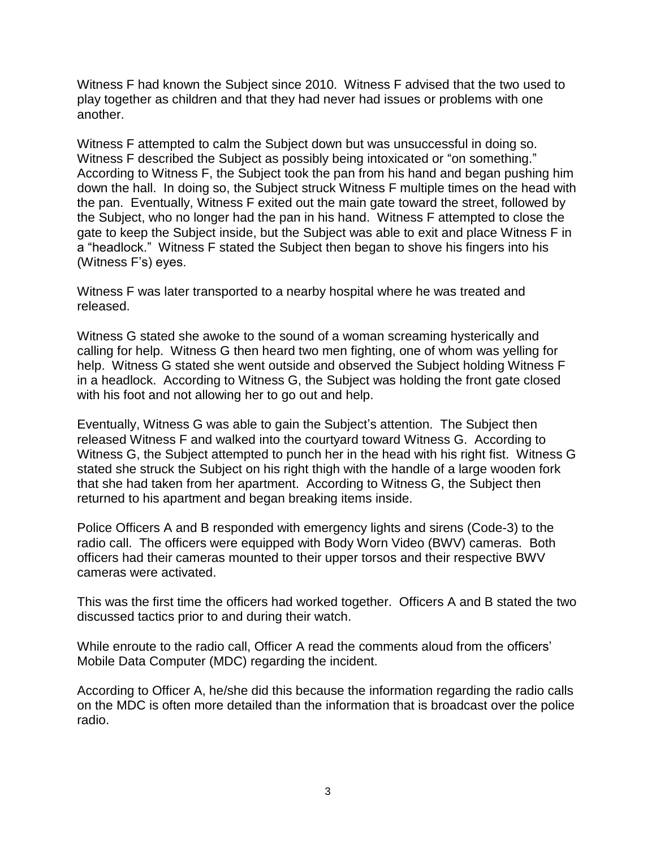Witness F had known the Subject since 2010. Witness F advised that the two used to play together as children and that they had never had issues or problems with one another.

Witness F attempted to calm the Subject down but was unsuccessful in doing so. Witness F described the Subject as possibly being intoxicated or "on something." According to Witness F, the Subject took the pan from his hand and began pushing him down the hall. In doing so, the Subject struck Witness F multiple times on the head with the pan. Eventually, Witness F exited out the main gate toward the street, followed by the Subject, who no longer had the pan in his hand. Witness F attempted to close the gate to keep the Subject inside, but the Subject was able to exit and place Witness F in a "headlock." Witness F stated the Subject then began to shove his fingers into his (Witness F's) eyes.

Witness F was later transported to a nearby hospital where he was treated and released.

Witness G stated she awoke to the sound of a woman screaming hysterically and calling for help. Witness G then heard two men fighting, one of whom was yelling for help. Witness G stated she went outside and observed the Subject holding Witness F in a headlock. According to Witness G, the Subject was holding the front gate closed with his foot and not allowing her to go out and help.

Eventually, Witness G was able to gain the Subject's attention. The Subject then released Witness F and walked into the courtyard toward Witness G. According to Witness G, the Subject attempted to punch her in the head with his right fist. Witness G stated she struck the Subject on his right thigh with the handle of a large wooden fork that she had taken from her apartment. According to Witness G, the Subject then returned to his apartment and began breaking items inside.

Police Officers A and B responded with emergency lights and sirens (Code-3) to the radio call. The officers were equipped with Body Worn Video (BWV) cameras. Both officers had their cameras mounted to their upper torsos and their respective BWV cameras were activated.

This was the first time the officers had worked together. Officers A and B stated the two discussed tactics prior to and during their watch.

While enroute to the radio call, Officer A read the comments aloud from the officers' Mobile Data Computer (MDC) regarding the incident.

According to Officer A, he/she did this because the information regarding the radio calls on the MDC is often more detailed than the information that is broadcast over the police radio.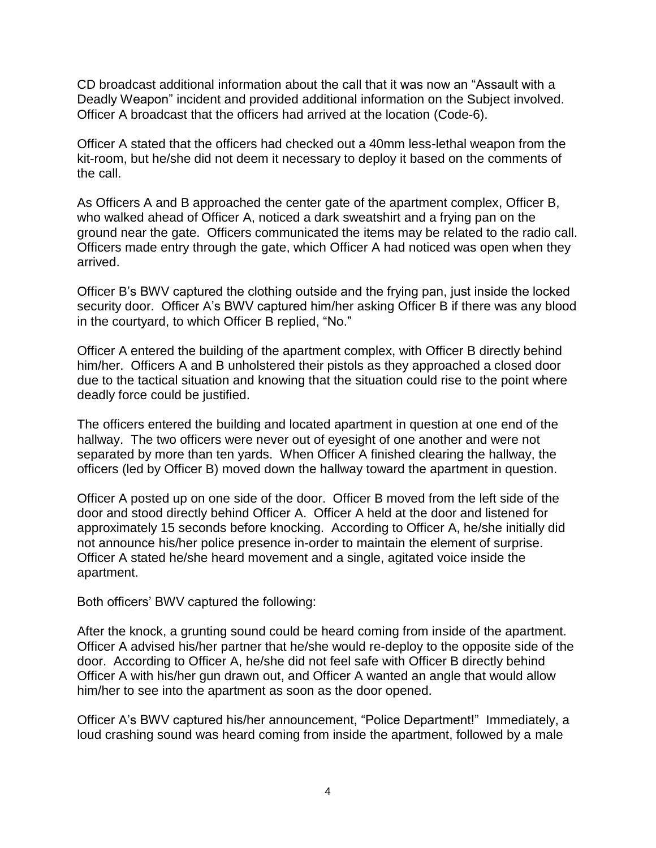CD broadcast additional information about the call that it was now an "Assault with a Deadly Weapon" incident and provided additional information on the Subject involved. Officer A broadcast that the officers had arrived at the location (Code-6).

Officer A stated that the officers had checked out a 40mm less-lethal weapon from the kit-room, but he/she did not deem it necessary to deploy it based on the comments of the call.

As Officers A and B approached the center gate of the apartment complex, Officer B, who walked ahead of Officer A, noticed a dark sweatshirt and a frying pan on the ground near the gate. Officers communicated the items may be related to the radio call. Officers made entry through the gate, which Officer A had noticed was open when they arrived.

Officer B's BWV captured the clothing outside and the frying pan, just inside the locked security door. Officer A's BWV captured him/her asking Officer B if there was any blood in the courtyard, to which Officer B replied, "No."

Officer A entered the building of the apartment complex, with Officer B directly behind him/her. Officers A and B unholstered their pistols as they approached a closed door due to the tactical situation and knowing that the situation could rise to the point where deadly force could be justified.

The officers entered the building and located apartment in question at one end of the hallway. The two officers were never out of eyesight of one another and were not separated by more than ten yards. When Officer A finished clearing the hallway, the officers (led by Officer B) moved down the hallway toward the apartment in question.

Officer A posted up on one side of the door. Officer B moved from the left side of the door and stood directly behind Officer A. Officer A held at the door and listened for approximately 15 seconds before knocking. According to Officer A, he/she initially did not announce his/her police presence in-order to maintain the element of surprise. Officer A stated he/she heard movement and a single, agitated voice inside the apartment.

Both officers' BWV captured the following:

After the knock, a grunting sound could be heard coming from inside of the apartment. Officer A advised his/her partner that he/she would re-deploy to the opposite side of the door. According to Officer A, he/she did not feel safe with Officer B directly behind Officer A with his/her gun drawn out, and Officer A wanted an angle that would allow him/her to see into the apartment as soon as the door opened.

Officer A's BWV captured his/her announcement, "Police Department!" Immediately, a loud crashing sound was heard coming from inside the apartment, followed by a male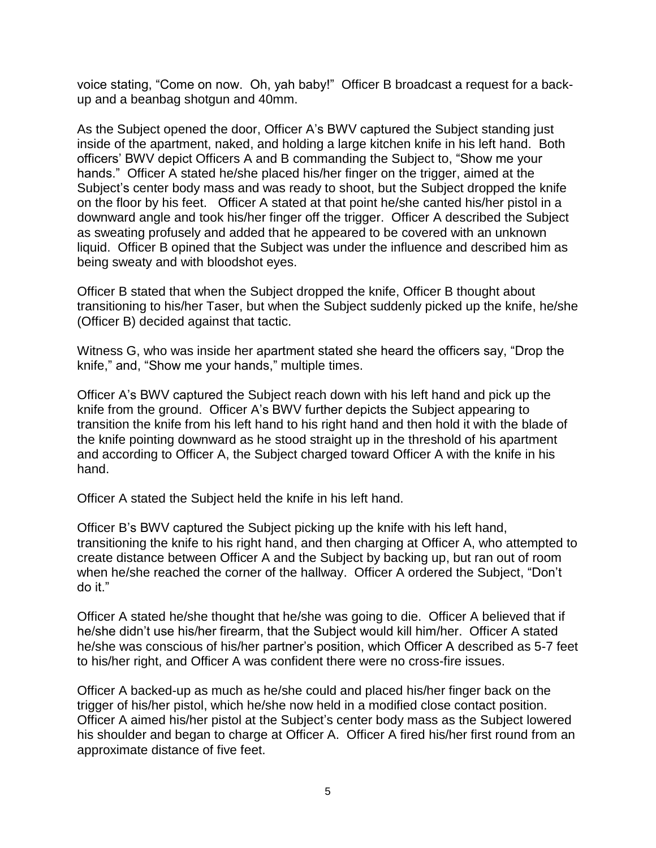voice stating, "Come on now. Oh, yah baby!" Officer B broadcast a request for a backup and a beanbag shotgun and 40mm.

As the Subject opened the door, Officer A's BWV captured the Subject standing just inside of the apartment, naked, and holding a large kitchen knife in his left hand. Both officers' BWV depict Officers A and B commanding the Subject to, "Show me your hands." Officer A stated he/she placed his/her finger on the trigger, aimed at the Subject's center body mass and was ready to shoot, but the Subject dropped the knife on the floor by his feet. Officer A stated at that point he/she canted his/her pistol in a downward angle and took his/her finger off the trigger. Officer A described the Subject as sweating profusely and added that he appeared to be covered with an unknown liquid. Officer B opined that the Subject was under the influence and described him as being sweaty and with bloodshot eyes.

Officer B stated that when the Subject dropped the knife, Officer B thought about transitioning to his/her Taser, but when the Subject suddenly picked up the knife, he/she (Officer B) decided against that tactic.

Witness G, who was inside her apartment stated she heard the officers say, "Drop the knife," and, "Show me your hands," multiple times.

Officer A's BWV captured the Subject reach down with his left hand and pick up the knife from the ground. Officer A's BWV further depicts the Subject appearing to transition the knife from his left hand to his right hand and then hold it with the blade of the knife pointing downward as he stood straight up in the threshold of his apartment and according to Officer A, the Subject charged toward Officer A with the knife in his hand.

Officer A stated the Subject held the knife in his left hand.

Officer B's BWV captured the Subject picking up the knife with his left hand, transitioning the knife to his right hand, and then charging at Officer A, who attempted to create distance between Officer A and the Subject by backing up, but ran out of room when he/she reached the corner of the hallway. Officer A ordered the Subject, "Don't do it."

Officer A stated he/she thought that he/she was going to die. Officer A believed that if he/she didn't use his/her firearm, that the Subject would kill him/her. Officer A stated he/she was conscious of his/her partner's position, which Officer A described as 5-7 feet to his/her right, and Officer A was confident there were no cross-fire issues.

Officer A backed-up as much as he/she could and placed his/her finger back on the trigger of his/her pistol, which he/she now held in a modified close contact position. Officer A aimed his/her pistol at the Subject's center body mass as the Subject lowered his shoulder and began to charge at Officer A. Officer A fired his/her first round from an approximate distance of five feet.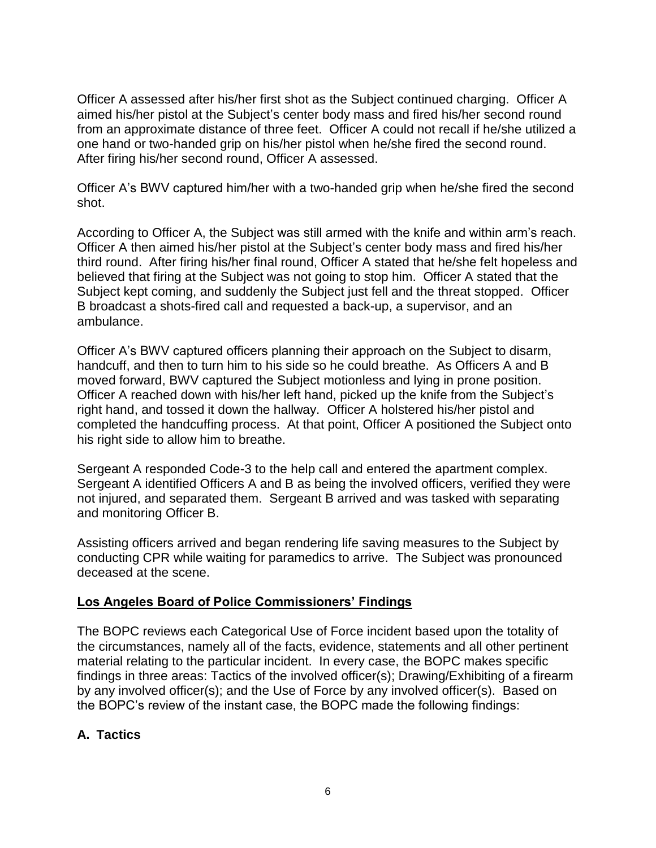Officer A assessed after his/her first shot as the Subject continued charging. Officer A aimed his/her pistol at the Subject's center body mass and fired his/her second round from an approximate distance of three feet. Officer A could not recall if he/she utilized a one hand or two-handed grip on his/her pistol when he/she fired the second round. After firing his/her second round, Officer A assessed.

Officer A's BWV captured him/her with a two-handed grip when he/she fired the second shot.

According to Officer A, the Subject was still armed with the knife and within arm's reach. Officer A then aimed his/her pistol at the Subject's center body mass and fired his/her third round. After firing his/her final round, Officer A stated that he/she felt hopeless and believed that firing at the Subject was not going to stop him. Officer A stated that the Subject kept coming, and suddenly the Subject just fell and the threat stopped. Officer B broadcast a shots-fired call and requested a back-up, a supervisor, and an ambulance.

Officer A's BWV captured officers planning their approach on the Subject to disarm, handcuff, and then to turn him to his side so he could breathe. As Officers A and B moved forward, BWV captured the Subject motionless and lying in prone position. Officer A reached down with his/her left hand, picked up the knife from the Subject's right hand, and tossed it down the hallway. Officer A holstered his/her pistol and completed the handcuffing process. At that point, Officer A positioned the Subject onto his right side to allow him to breathe.

Sergeant A responded Code-3 to the help call and entered the apartment complex. Sergeant A identified Officers A and B as being the involved officers, verified they were not injured, and separated them. Sergeant B arrived and was tasked with separating and monitoring Officer B.

Assisting officers arrived and began rendering life saving measures to the Subject by conducting CPR while waiting for paramedics to arrive. The Subject was pronounced deceased at the scene.

### **Los Angeles Board of Police Commissioners' Findings**

The BOPC reviews each Categorical Use of Force incident based upon the totality of the circumstances, namely all of the facts, evidence, statements and all other pertinent material relating to the particular incident. In every case, the BOPC makes specific findings in three areas: Tactics of the involved officer(s); Drawing/Exhibiting of a firearm by any involved officer(s); and the Use of Force by any involved officer(s). Based on the BOPC's review of the instant case, the BOPC made the following findings:

# **A. Tactics**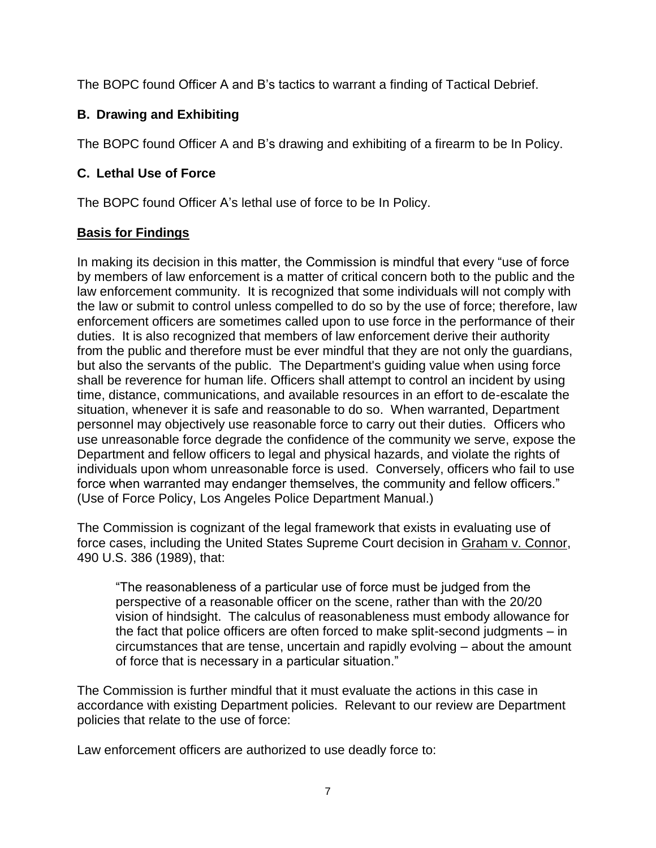The BOPC found Officer A and B's tactics to warrant a finding of Tactical Debrief.

# **B. Drawing and Exhibiting**

The BOPC found Officer A and B's drawing and exhibiting of a firearm to be In Policy.

# **C. Lethal Use of Force**

The BOPC found Officer A's lethal use of force to be In Policy.

# **Basis for Findings**

In making its decision in this matter, the Commission is mindful that every "use of force by members of law enforcement is a matter of critical concern both to the public and the law enforcement community. It is recognized that some individuals will not comply with the law or submit to control unless compelled to do so by the use of force; therefore, law enforcement officers are sometimes called upon to use force in the performance of their duties. It is also recognized that members of law enforcement derive their authority from the public and therefore must be ever mindful that they are not only the guardians, but also the servants of the public. The Department's guiding value when using force shall be reverence for human life. Officers shall attempt to control an incident by using time, distance, communications, and available resources in an effort to de-escalate the situation, whenever it is safe and reasonable to do so. When warranted, Department personnel may objectively use reasonable force to carry out their duties. Officers who use unreasonable force degrade the confidence of the community we serve, expose the Department and fellow officers to legal and physical hazards, and violate the rights of individuals upon whom unreasonable force is used. Conversely, officers who fail to use force when warranted may endanger themselves, the community and fellow officers." (Use of Force Policy, Los Angeles Police Department Manual.)

The Commission is cognizant of the legal framework that exists in evaluating use of force cases, including the United States Supreme Court decision in Graham v. Connor, 490 U.S. 386 (1989), that:

"The reasonableness of a particular use of force must be judged from the perspective of a reasonable officer on the scene, rather than with the 20/20 vision of hindsight. The calculus of reasonableness must embody allowance for the fact that police officers are often forced to make split-second judgments – in circumstances that are tense, uncertain and rapidly evolving – about the amount of force that is necessary in a particular situation."

The Commission is further mindful that it must evaluate the actions in this case in accordance with existing Department policies. Relevant to our review are Department policies that relate to the use of force:

Law enforcement officers are authorized to use deadly force to: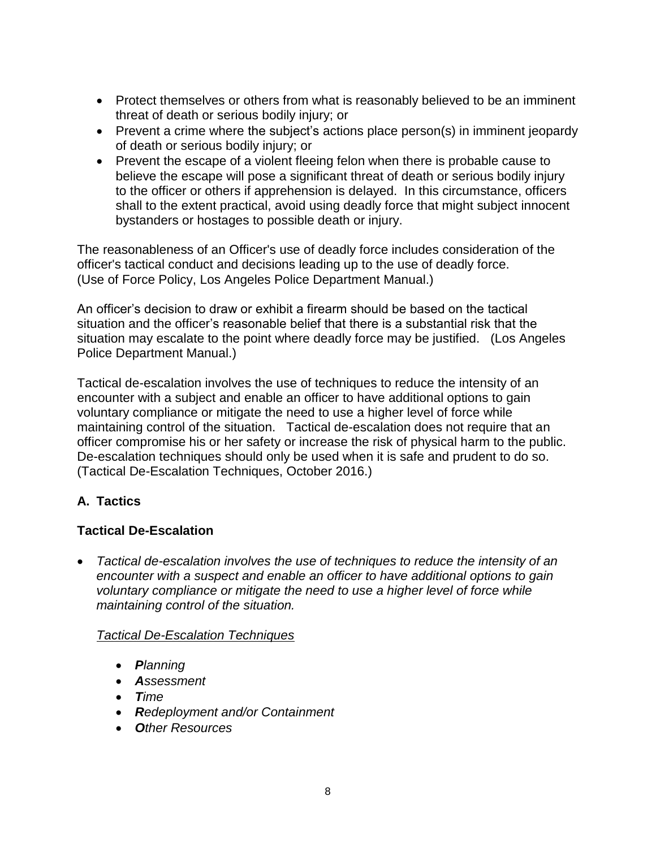- Protect themselves or others from what is reasonably believed to be an imminent threat of death or serious bodily injury; or
- Prevent a crime where the subject's actions place person(s) in imminent jeopardy of death or serious bodily injury; or
- Prevent the escape of a violent fleeing felon when there is probable cause to believe the escape will pose a significant threat of death or serious bodily injury to the officer or others if apprehension is delayed. In this circumstance, officers shall to the extent practical, avoid using deadly force that might subject innocent bystanders or hostages to possible death or injury.

The reasonableness of an Officer's use of deadly force includes consideration of the officer's tactical conduct and decisions leading up to the use of deadly force. (Use of Force Policy, Los Angeles Police Department Manual.)

An officer's decision to draw or exhibit a firearm should be based on the tactical situation and the officer's reasonable belief that there is a substantial risk that the situation may escalate to the point where deadly force may be justified. (Los Angeles Police Department Manual.)

Tactical de-escalation involves the use of techniques to reduce the intensity of an encounter with a subject and enable an officer to have additional options to gain voluntary compliance or mitigate the need to use a higher level of force while maintaining control of the situation. Tactical de-escalation does not require that an officer compromise his or her safety or increase the risk of physical harm to the public. De-escalation techniques should only be used when it is safe and prudent to do so. (Tactical De-Escalation Techniques, October 2016.)

# **A. Tactics**

# **Tactical De-Escalation**

• *Tactical de-escalation involves the use of techniques to reduce the intensity of an encounter with a suspect and enable an officer to have additional options to gain voluntary compliance or mitigate the need to use a higher level of force while maintaining control of the situation.*

# *Tactical De-Escalation Techniques*

- *Planning*
- *Assessment*
- *Time*
- *Redeployment and/or Containment*
- *Other Resources*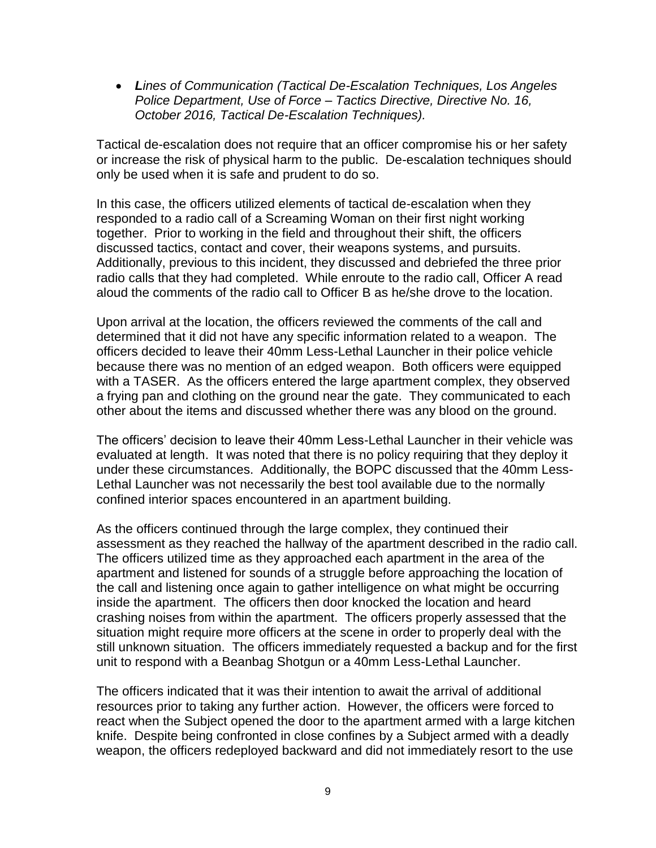• *Lines of Communication (Tactical De-Escalation Techniques, Los Angeles Police Department, Use of Force – Tactics Directive, Directive No. 16, October 2016, Tactical De-Escalation Techniques).*

Tactical de-escalation does not require that an officer compromise his or her safety or increase the risk of physical harm to the public. De-escalation techniques should only be used when it is safe and prudent to do so.

In this case, the officers utilized elements of tactical de-escalation when they responded to a radio call of a Screaming Woman on their first night working together. Prior to working in the field and throughout their shift, the officers discussed tactics, contact and cover, their weapons systems, and pursuits. Additionally, previous to this incident, they discussed and debriefed the three prior radio calls that they had completed. While enroute to the radio call, Officer A read aloud the comments of the radio call to Officer B as he/she drove to the location.

Upon arrival at the location, the officers reviewed the comments of the call and determined that it did not have any specific information related to a weapon. The officers decided to leave their 40mm Less-Lethal Launcher in their police vehicle because there was no mention of an edged weapon. Both officers were equipped with a TASER. As the officers entered the large apartment complex, they observed a frying pan and clothing on the ground near the gate. They communicated to each other about the items and discussed whether there was any blood on the ground.

The officers' decision to leave their 40mm Less-Lethal Launcher in their vehicle was evaluated at length. It was noted that there is no policy requiring that they deploy it under these circumstances. Additionally, the BOPC discussed that the 40mm Less-Lethal Launcher was not necessarily the best tool available due to the normally confined interior spaces encountered in an apartment building.

As the officers continued through the large complex, they continued their assessment as they reached the hallway of the apartment described in the radio call. The officers utilized time as they approached each apartment in the area of the apartment and listened for sounds of a struggle before approaching the location of the call and listening once again to gather intelligence on what might be occurring inside the apartment. The officers then door knocked the location and heard crashing noises from within the apartment. The officers properly assessed that the situation might require more officers at the scene in order to properly deal with the still unknown situation. The officers immediately requested a backup and for the first unit to respond with a Beanbag Shotgun or a 40mm Less-Lethal Launcher.

The officers indicated that it was their intention to await the arrival of additional resources prior to taking any further action. However, the officers were forced to react when the Subject opened the door to the apartment armed with a large kitchen knife. Despite being confronted in close confines by a Subject armed with a deadly weapon, the officers redeployed backward and did not immediately resort to the use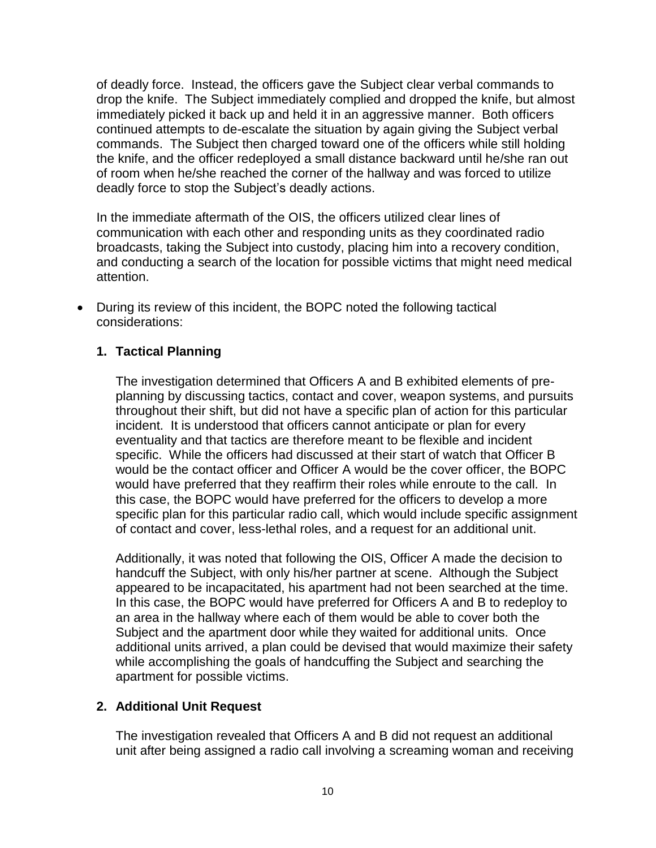of deadly force. Instead, the officers gave the Subject clear verbal commands to drop the knife. The Subject immediately complied and dropped the knife, but almost immediately picked it back up and held it in an aggressive manner. Both officers continued attempts to de-escalate the situation by again giving the Subject verbal commands. The Subject then charged toward one of the officers while still holding the knife, and the officer redeployed a small distance backward until he/she ran out of room when he/she reached the corner of the hallway and was forced to utilize deadly force to stop the Subject's deadly actions.

In the immediate aftermath of the OIS, the officers utilized clear lines of communication with each other and responding units as they coordinated radio broadcasts, taking the Subject into custody, placing him into a recovery condition, and conducting a search of the location for possible victims that might need medical attention.

• During its review of this incident, the BOPC noted the following tactical considerations:

## **1. Tactical Planning**

The investigation determined that Officers A and B exhibited elements of preplanning by discussing tactics, contact and cover, weapon systems, and pursuits throughout their shift, but did not have a specific plan of action for this particular incident. It is understood that officers cannot anticipate or plan for every eventuality and that tactics are therefore meant to be flexible and incident specific. While the officers had discussed at their start of watch that Officer B would be the contact officer and Officer A would be the cover officer, the BOPC would have preferred that they reaffirm their roles while enroute to the call. In this case, the BOPC would have preferred for the officers to develop a more specific plan for this particular radio call, which would include specific assignment of contact and cover, less-lethal roles, and a request for an additional unit.

Additionally, it was noted that following the OIS, Officer A made the decision to handcuff the Subject, with only his/her partner at scene. Although the Subject appeared to be incapacitated, his apartment had not been searched at the time. In this case, the BOPC would have preferred for Officers A and B to redeploy to an area in the hallway where each of them would be able to cover both the Subject and the apartment door while they waited for additional units. Once additional units arrived, a plan could be devised that would maximize their safety while accomplishing the goals of handcuffing the Subject and searching the apartment for possible victims.

### **2. Additional Unit Request**

The investigation revealed that Officers A and B did not request an additional unit after being assigned a radio call involving a screaming woman and receiving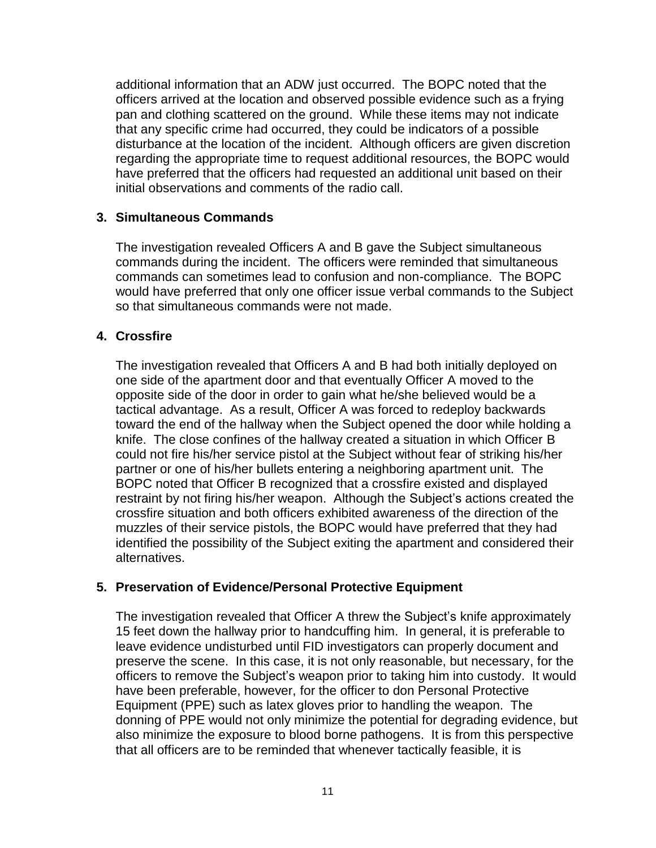additional information that an ADW just occurred. The BOPC noted that the officers arrived at the location and observed possible evidence such as a frying pan and clothing scattered on the ground. While these items may not indicate that any specific crime had occurred, they could be indicators of a possible disturbance at the location of the incident. Although officers are given discretion regarding the appropriate time to request additional resources, the BOPC would have preferred that the officers had requested an additional unit based on their initial observations and comments of the radio call.

## **3. Simultaneous Commands**

The investigation revealed Officers A and B gave the Subject simultaneous commands during the incident. The officers were reminded that simultaneous commands can sometimes lead to confusion and non-compliance. The BOPC would have preferred that only one officer issue verbal commands to the Subject so that simultaneous commands were not made.

### **4. Crossfire**

The investigation revealed that Officers A and B had both initially deployed on one side of the apartment door and that eventually Officer A moved to the opposite side of the door in order to gain what he/she believed would be a tactical advantage. As a result, Officer A was forced to redeploy backwards toward the end of the hallway when the Subject opened the door while holding a knife. The close confines of the hallway created a situation in which Officer B could not fire his/her service pistol at the Subject without fear of striking his/her partner or one of his/her bullets entering a neighboring apartment unit. The BOPC noted that Officer B recognized that a crossfire existed and displayed restraint by not firing his/her weapon. Although the Subject's actions created the crossfire situation and both officers exhibited awareness of the direction of the muzzles of their service pistols, the BOPC would have preferred that they had identified the possibility of the Subject exiting the apartment and considered their alternatives.

### **5. Preservation of Evidence/Personal Protective Equipment**

The investigation revealed that Officer A threw the Subject's knife approximately 15 feet down the hallway prior to handcuffing him. In general, it is preferable to leave evidence undisturbed until FID investigators can properly document and preserve the scene. In this case, it is not only reasonable, but necessary, for the officers to remove the Subject's weapon prior to taking him into custody. It would have been preferable, however, for the officer to don Personal Protective Equipment (PPE) such as latex gloves prior to handling the weapon. The donning of PPE would not only minimize the potential for degrading evidence, but also minimize the exposure to blood borne pathogens. It is from this perspective that all officers are to be reminded that whenever tactically feasible, it is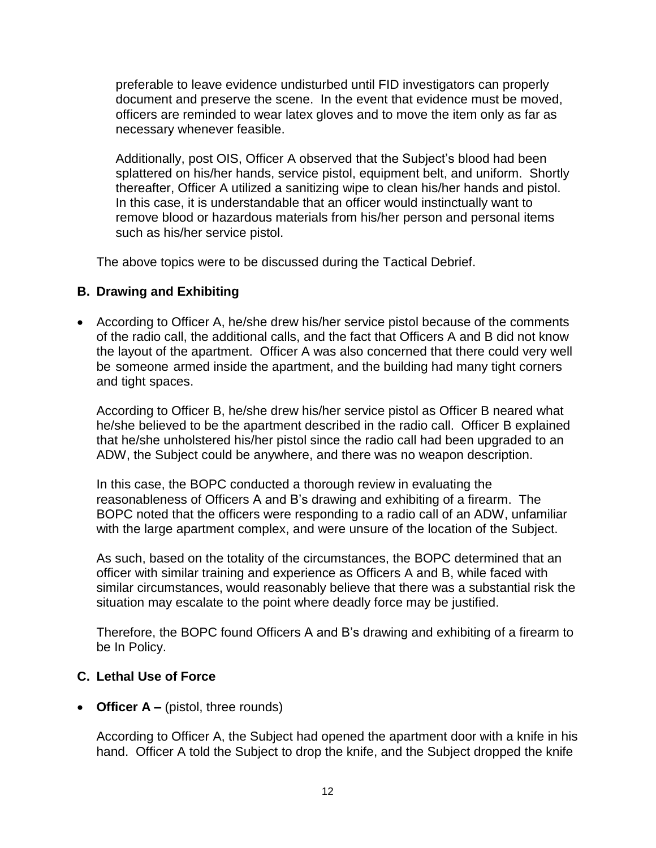preferable to leave evidence undisturbed until FID investigators can properly document and preserve the scene. In the event that evidence must be moved, officers are reminded to wear latex gloves and to move the item only as far as necessary whenever feasible.

Additionally, post OIS, Officer A observed that the Subject's blood had been splattered on his/her hands, service pistol, equipment belt, and uniform. Shortly thereafter, Officer A utilized a sanitizing wipe to clean his/her hands and pistol. In this case, it is understandable that an officer would instinctually want to remove blood or hazardous materials from his/her person and personal items such as his/her service pistol.

The above topics were to be discussed during the Tactical Debrief.

### **B. Drawing and Exhibiting**

• According to Officer A, he/she drew his/her service pistol because of the comments of the radio call, the additional calls, and the fact that Officers A and B did not know the layout of the apartment. Officer A was also concerned that there could very well be someone armed inside the apartment, and the building had many tight corners and tight spaces.

According to Officer B, he/she drew his/her service pistol as Officer B neared what he/she believed to be the apartment described in the radio call. Officer B explained that he/she unholstered his/her pistol since the radio call had been upgraded to an ADW, the Subject could be anywhere, and there was no weapon description.

In this case, the BOPC conducted a thorough review in evaluating the reasonableness of Officers A and B's drawing and exhibiting of a firearm. The BOPC noted that the officers were responding to a radio call of an ADW, unfamiliar with the large apartment complex, and were unsure of the location of the Subject.

As such, based on the totality of the circumstances, the BOPC determined that an officer with similar training and experience as Officers A and B, while faced with similar circumstances, would reasonably believe that there was a substantial risk the situation may escalate to the point where deadly force may be justified.

Therefore, the BOPC found Officers A and B's drawing and exhibiting of a firearm to be In Policy.

### **C. Lethal Use of Force**

• **Officer A** – (pistol, three rounds)

According to Officer A, the Subject had opened the apartment door with a knife in his hand. Officer A told the Subject to drop the knife, and the Subject dropped the knife